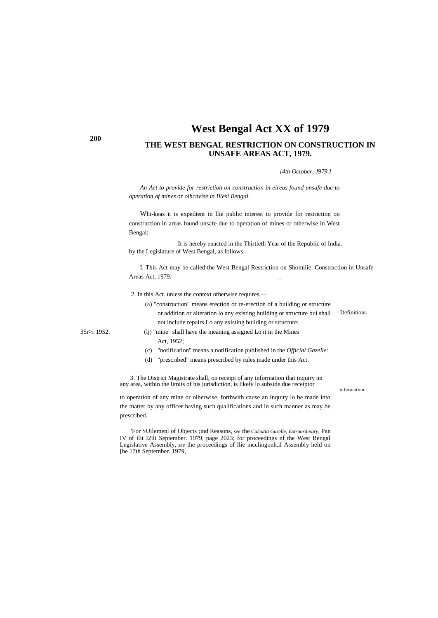# **West Bengal Act XX of 1979**

## **THE WEST BENGAL RESTRICTION ON CONSTRUCTION IN UNSAFE AREAS ACT, 1979.**

*[4th October, J979.]*

*An Act to provide for restriction on construction in eireus found unsafe due to operation of mines or olhcnvise in IVesi Bengal.*

Whi-keas ii is expedient in llie public interest to provide for restriction on construction in areas found unsafe due to operation of mines or otherwise in West Bengal;

It is hereby enacted in the Thirtieth Year of the Republic of India. by the Legislature of West Bengal, as follows:—

I. This Act may be called the West Bengal Restriction on Shomiiie. Construction in Unsafe Areas Act, 1979. \_

2. In this Act. unless the context otherwise requires,—

- Definitions . (a) "construction" means erection or re-erection of a building or structure or addition or alteration lo any existing building or structure bui shall not include repairs Lo any existing building or structure;
- 35r>r 1952. (lj) "mine" shall have the meaning assigned Lo it in the Mines Act, 1952;
	- (c) "notification" means a notification published in the *Official Gazelle:*
	- (d) "prescribed" means prescribed by rules made under this Act.

3. The District Magistrate shall, on receipt of any information that inquiry nn any area, within the limits of his jurisdiction, is likely lo subside due receiptor

information.

to operation of any mine or oiherwise. forthwith cause an inquiry lo be made into the matter by any officer having such qualifications and in such manner as may be prescribed.

'For SUilemenl of Objects ;ind Reasons, *see* the *Calcutta Gazelle, Extraordinary,* Pan IV of ilit I2ili September. 1979, page 2023; for proceedings nf the West Bengal Legislative Assembly, *see* the proceedings of llie mcclingonh.il Assembly held on [he 17th September. 1979,

**200**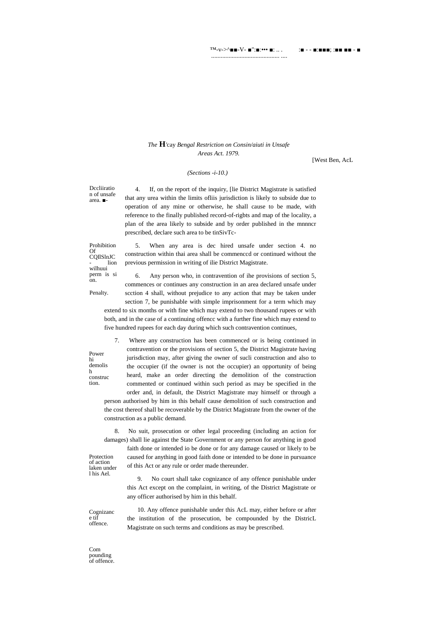™-v->^■■-V- ■":■:••• ■: .. . :■ - - ■:■■■; :■■ ■■ - ■

........................................... ....

### *The* **H***'*cay *Bengal Restriction on Consin/aiuti in Unsafe Areas Act. 1979.*

[West Ben, AcL

### *(Sections -i-10.)*

Dccliiratio n of unsafe area. ■-

4. If, on the report of the inquiry, [lie District Magistrate is satisfied that any urea within the limits ofliis jurisdiction is likely to subside due to operation of any mine or otherwise, he shall cause to be made, with reference to the finally published record-of-rigbts and map of the locality, a plan of the area likely to subside and by order published in the mnnncr prescribed, declare such area to be tinSivTc-

Prohibition Of CQIlSlnJC lion wilhuui perm is si on.

Penalty.

Power hi demolis h construc tion.

5. When any area is dec hired unsafe under section 4. no construction within thai area shall be commenccd or continued without the previous permission in writing of ilie District Magistrate.

6. Any person who, in contravention of ihe provisions of section 5, commences or continues any construction in an area declared unsafe under scction 4 shall, without prejudice to any action that may be taken under section 7, be punishable with simple imprisonment for a term which may extend to six months or with fine which may extend to two thousand rupees or with both, and in the case of a continuing offencc with a further fine which may extend to five hundred rupees for each day during which such contravention continues,

7. Where any construction has been commenced or is being continued in contravention or the provisions of section 5, the District Magistrate having jurisdiction may, after giving the owner of sucli construction and also to the occupier (if the owner is not the occupier) an opportunity of being heard, make an order directing the demolition of the construction commented or continued within such period as may be specified in the order and, in default, the District Magistrate may himself or through a person authorised by him in this behalf cause demolition of such construction and the cost thereof shall be recoverable by the District Magistrate from the owner of the construction as a public demand.

8. No suit, prosecution or other legal proceeding (including an action for damages) shall lie against the State Government or any person for anything in good

laken under faith done or intended io be done or for any damage caused or likely to be caused for anything in good faith done or intended to be done in pursuance of this Act or any rule or order made thereunder.

> 9. No court shall take cognizance of any offence punishable under this Act except on the complaint, in writing, of the District Magistrate or any officer authorised by him in this behalf.

10. Any offence punishable under this AcL may, either before or after the institution of the prosecution, be compounded by the DistricL Magistrate on such terms and conditions as may be prescribed.

Com pounding of offence.

Cognizanc e tif offence.

Protection of action

l his Ael.